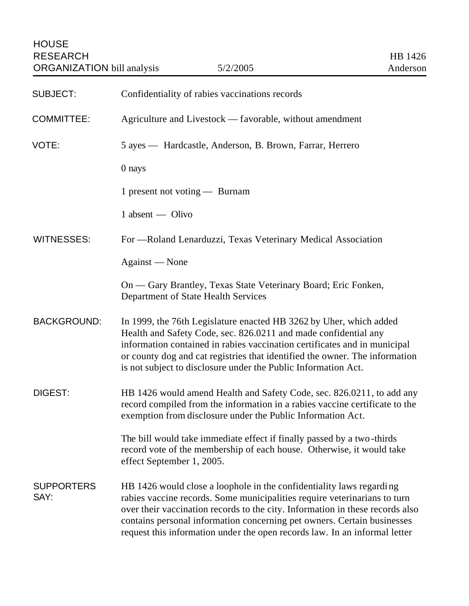| <b>SUBJECT:</b>           | Confidentiality of rabies vaccinations records                                                                                                                                                                                                                                                                                                                                              |
|---------------------------|---------------------------------------------------------------------------------------------------------------------------------------------------------------------------------------------------------------------------------------------------------------------------------------------------------------------------------------------------------------------------------------------|
| <b>COMMITTEE:</b>         | Agriculture and Livestock — favorable, without amendment                                                                                                                                                                                                                                                                                                                                    |
| VOTE:                     | 5 ayes — Hardcastle, Anderson, B. Brown, Farrar, Herrero                                                                                                                                                                                                                                                                                                                                    |
|                           | 0 nays                                                                                                                                                                                                                                                                                                                                                                                      |
|                           | 1 present not voting - Burnam                                                                                                                                                                                                                                                                                                                                                               |
|                           | $1$ absent — Olivo                                                                                                                                                                                                                                                                                                                                                                          |
| <b>WITNESSES:</b>         | For — Roland Lenarduzzi, Texas Veterinary Medical Association                                                                                                                                                                                                                                                                                                                               |
|                           | Against — None                                                                                                                                                                                                                                                                                                                                                                              |
|                           | On — Gary Brantley, Texas State Veterinary Board; Eric Fonken,<br>Department of State Health Services                                                                                                                                                                                                                                                                                       |
| <b>BACKGROUND:</b>        | In 1999, the 76th Legislature enacted HB 3262 by Uher, which added<br>Health and Safety Code, sec. 826.0211 and made confidential any<br>information contained in rabies vaccination certificates and in municipal<br>or county dog and cat registries that identified the owner. The information<br>is not subject to disclosure under the Public Information Act.                         |
| <b>DIGEST:</b>            | HB 1426 would amend Health and Safety Code, sec. 826.0211, to add any<br>record compiled from the information in a rabies vaccine certificate to the<br>exemption from disclosure under the Public Information Act.                                                                                                                                                                         |
|                           | The bill would take immediate effect if finally passed by a two-thirds<br>record vote of the membership of each house. Otherwise, it would take<br>effect September 1, 2005.                                                                                                                                                                                                                |
| <b>SUPPORTERS</b><br>SAY: | HB 1426 would close a loophole in the confidentiality laws regarding<br>rabies vaccine records. Some municipalities require veterinarians to turn<br>over their vaccination records to the city. Information in these records also<br>contains personal information concerning pet owners. Certain businesses<br>request this information under the open records law. In an informal letter |